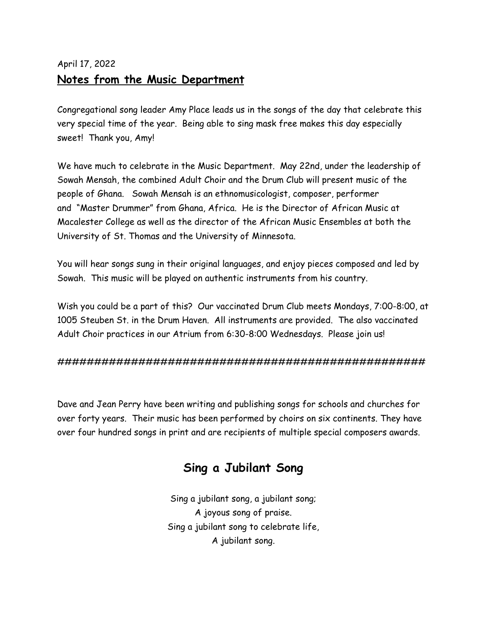# April 17, 2022 **Notes from the Music Department**

Congregational song leader Amy Place leads us in the songs of the day that celebrate this very special time of the year. Being able to sing mask free makes this day especially sweet! Thank you, Amy!

We have much to celebrate in the Music Department. May 22nd, under the leadership of Sowah Mensah, the combined Adult Choir and the Drum Club will present music of the people of Ghana. Sowah Mensah is an ethnomusicologist, composer, performer and "Master Drummer" from Ghana, Africa. He is the Director of African Music at Macalester College as well as the director of the African Music Ensembles at both the University of St. Thomas and the University of Minnesota.

You will hear songs sung in their original languages, and enjoy pieces composed and led by Sowah. This music will be played on authentic instruments from his country.

Wish you could be a part of this? Our vaccinated Drum Club meets Mondays, 7:00-8:00, at 1005 Steuben St. in the Drum Haven. All instruments are provided. The also vaccinated Adult Choir practices in our Atrium from 6:30-8:00 Wednesdays. Please join us!

#### ##################################################

Dave and Jean Perry have been writing and publishing songs for schools and churches for over forty years. Their music has been performed by choirs on six continents. They have over four hundred songs in print and are recipients of multiple special composers awards.

# **Sing a Jubilant Song**

Sing a jubilant song, a jubilant song; A joyous song of praise. Sing a jubilant song to celebrate life, A jubilant song.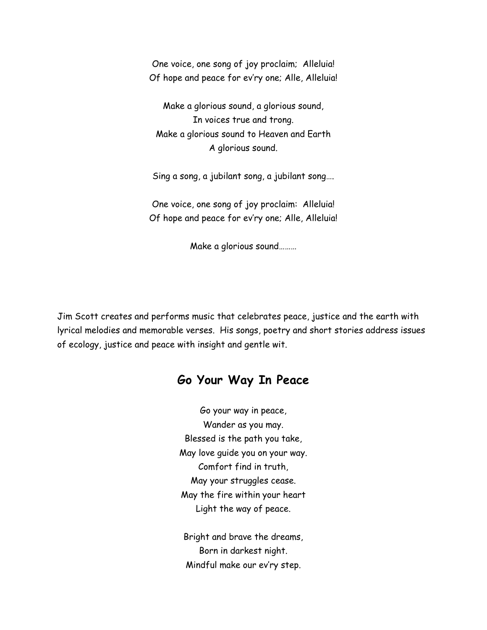One voice, one song of joy proclaim; Alleluia! Of hope and peace for ev'ry one; Alle, Alleluia!

Make a glorious sound, a glorious sound, In voices true and trong. Make a glorious sound to Heaven and Earth A glorious sound.

Sing a song, a jubilant song, a jubilant song….

One voice, one song of joy proclaim: Alleluia! Of hope and peace for ev'ry one; Alle, Alleluia!

Make a glorious sound………

Jim Scott creates and performs music that celebrates peace, justice and the earth with lyrical melodies and memorable verses. His songs, poetry and short stories address issues of ecology, justice and peace with insight and gentle wit.

### **Go Your Way In Peace**

Go your way in peace, Wander as you may. Blessed is the path you take, May love guide you on your way. Comfort find in truth, May your struggles cease. May the fire within your heart Light the way of peace.

Bright and brave the dreams, Born in darkest night. Mindful make our ev'ry step.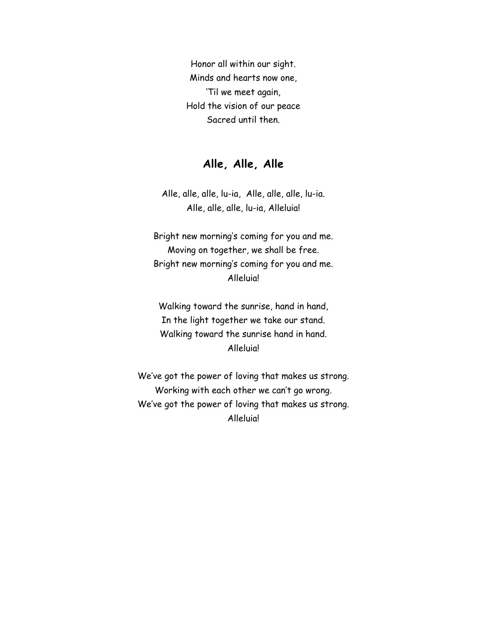Honor all within our sight. Minds and hearts now one, 'Til we meet again, Hold the vision of our peace Sacred until then.

#### **Alle, Alle, Alle**

Alle, alle, alle, lu-ia, Alle, alle, alle, lu-ia. Alle, alle, alle, lu-ia, Alleluia!

Bright new morning's coming for you and me. Moving on together, we shall be free. Bright new morning's coming for you and me. Alleluia!

Walking toward the sunrise, hand in hand, In the light together we take our stand. Walking toward the sunrise hand in hand. Alleluia!

We've got the power of loving that makes us strong. Working with each other we can't go wrong. We've got the power of loving that makes us strong. Alleluia!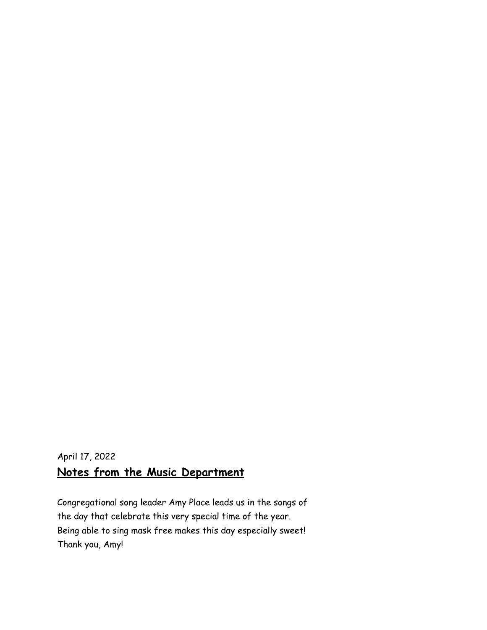# April 17, 2022 **Notes from the Music Department**

Congregational song leader Amy Place leads us in the songs of the day that celebrate this very special time of the year. Being able to sing mask free makes this day especially sweet! Thank you, Amy!